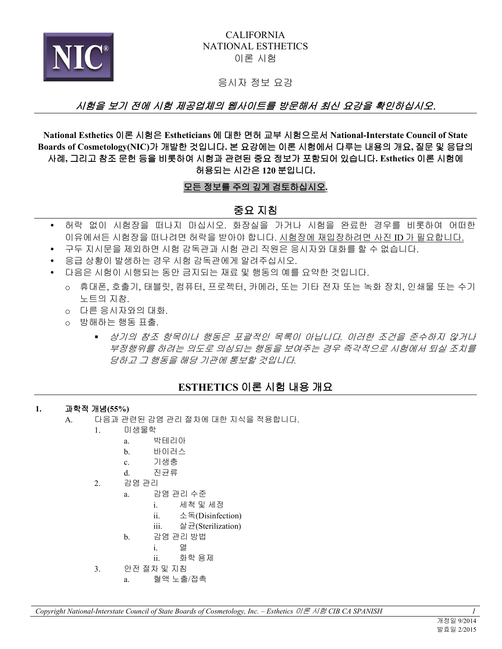

### CALIFORNIA NATIONAL ESTHETICS 이론 시험

응시자 정보 요강

# . 시험을 보기 전에 시험 제공업체의 웹사이트를 방문해서 최신 요강을 확인하십시오

**National Esthetics** 이론 시험은 **Estheticians** 에 대한 면허 교부 시험으로서 **National-Interstate Council of State Boards of Cosmetology(NIC)**가 개발한 것입니다**.** 본 요강에는 이론 시험에서 다루는 내용의 개요**,** 질문 및 응답의 사례**,** 그리고 참조 문헌 등을 비롯하여 시험과 관련된 중요 정보가 포함되어 있습니다**. Esthetics** 이론 시험에 허용되는 시간은 **120** 분입니다**.** 

### 모든 정보를 주의 깊게 검토하십시오**.**

## 중요 지침

- 허락 없이 시험장을 떠나지 마십시오. 화장실을 가거나 시험을 완료한 경우를 비롯하여 어떠한 이유에서든 시험장을 떠나려면 허락을 받아야 합니다. 시험장에 재입장하려면 사진 ID 가 필요합니다.
- 구두 지시문을 제외하면 시험 감독관과 시험 관리 직원은 응시자와 대화를 할 수 없습니다.
- 응급 상황이 발생하는 경우 시험 감독관에게 알려주십시오.
- 다음은 시험이 시행되는 동안 금지되는 재료 및 행동의 예를 요약한 것입니다.
	- o 휴대폰, 호출기, 태블릿, 컴퓨터, 프로젝터, 카메라, 또는 기타 전자 또는 녹화 장치, 인쇄물 또는 수기 노트의 지참.
	- o 다른 응시자와의 대화.
	- o 방해하는 행동 표출.
		- 상기의 참조 항목이나 행동은 포괄적인 목록이 아닙니다*.* 이러한 조건을 준수하지 않거나 부정행위를 하려는 의도로 의심되는 행동을 보여주는 경우 즉각적으로 시험에서 퇴실 조치를 당하고 그 행동을 해당 기관에 통보할 것입니다*.*

# **ESTHETICS** 이론 시험 내용 개요

#### **1.** 과학적 개념**(55%)**

- A. 다음과 관련된 감염 관리 절차에 대한 지식을 적용합니다.
	- 1. 미생물학
		- a. 박테리아
		- b. 바이러스
		- c. 기생충
		- d. 진균류
		- 2. 감염 관리
			- a. 감염 관리 수준
				- i. 세척 및 세정
				- ii. 소독(Disinfection)
				- iii. 살균(Sterilization)
			- b. 감염 관리 방법
				- i. 열
				- ii. 화학 용제
		- 3. 안전 절차 및 지침
			- a. 혈액 노출/접촉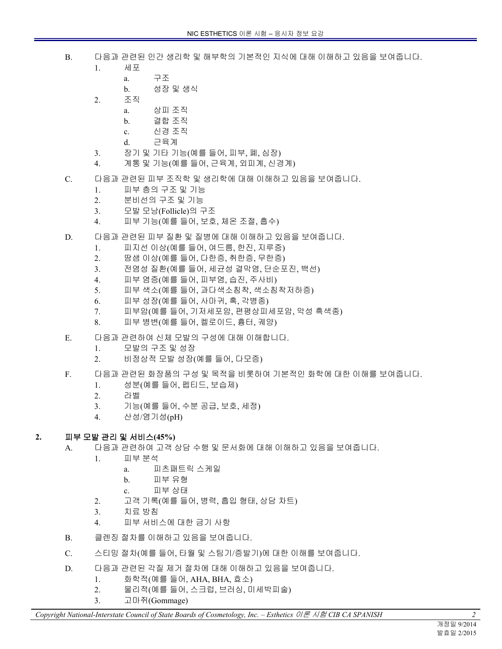- B. 다음과 관련된 인간 생리학 및 해부학의 기본적인 지식에 대해 이해하고 있음을 보여줍니다.
	- 1. 세포
		- a. 구조
		- b. 성장 및 생식
	- 2. 조직
		- a. 상피 조직
		- b. 결합 조직
		- c. 신경 조직
		- d. 근육계
	- 3. 장기 및 기타 기능(예를 들어, 피부, 폐, 심장)
	- 4. 계통 및 기능(예를 들어, 근육계, 외피계, 신경계)
- C. 다음과 관련된 피부 조직학 및 생리학에 대해 이해하고 있음을 보여줍니다.
	- 1. 피부 층의 구조 및 기능
	- 2. 분비선의 구조 및 기능
	- 3. 모발 모낭(Follicle)의 구조
	- 4. 피부 기능(예를 들어, 보호, 체온 조절, 흡수)
- D. 다음과 관련된 피부 질환 및 질병에 대해 이해하고 있음을 보여줍니다.
	- 1. 피지선 이상(예를 들어, 여드름, 한진, 지루증)
	- 2. 땀샘 이상(예를 들어, 다한증, 취한증, 무한증)
	- 3. 전염성 질환(예를 들어, 세균성 결막염, 단순포진, 백선)
	- 4. 피부 염증(예를 들어, 피부염, 습진, 주사비)
	- 5. 피부 색소(예를 들어, 과다색소침착, 색소침착저하증)
	- 6. 피부 성장(예를 들어, 사마귀, 혹, 각병종)
	- 7. 피부암(예를 들어, 기저세포암, 편평상피세포암, 악성 흑색종)
	- 8. 피부 병변(예를 들어, 켈로이드, 흉터, 궤양)
- E. 다음과 관련하여 신체 모발의 구성에 대해 이해합니다.
	- 1. 모발의 구조 및 성장
	- 2. 비정상적 모발 성장(예를 들어, 다모증)
- F. 다음과 관련된 화장품의 구성 및 목적을 비롯하여 기본적인 화학에 대한 이해를 보여줍니다.
	- 1. 성분(예를 들어, 펩티드, 보습제)
	- 2. 라벨
	- 3. 기능(예를 들어, 수분 공급, 보호, 세정)
	- 4. 산성/염기성(pH)

### **2.** 피부 모발 관리 및 서비스**(45%)**

- A. 다음과 관련하여 고객 상담 수행 및 문서화에 대해 이해하고 있음을 보여줍니다.
	- 1. 피부 분석
		- a. 피츠패트릭 스케일
		- b. 피부 유형
		- c. 피부 상태
	- 2. 고객 기록(예를 들어, 병력, 흡입 형태, 상담 차트)
	- 3. 치료 방침
	- 4. 피부 서비스에 대한 금기 사항
- B. 클렌징 절차를 이해하고 있음을 보여줍니다.
- C. 스티밍 절차(예를 들어, 타월 및 스팀기/증발기)에 대한 이해를 보여줍니다.
- D. 다음과 관련된 각질 제거 절차에 대해 이해하고 있음을 보여줍니다.
	- 1. 화학적(예를 들어, AHA, BHA, 효소)
	- 2. 물리적(예를 들어, 스크럽, 브러싱, 미세박피술)
	- 3. 고마쥐(Gommage)

*Copyright National-Interstate Council of State Boards of Cosmetology, Inc. – Esthetics* 이론 시험 *CIB CA SPANISH 2*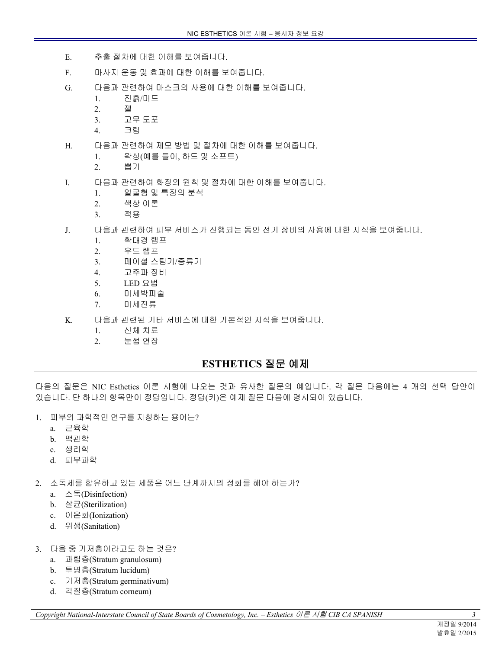- E. 추출 절차에 대한 이해를 보여줍니다.
- F. 마사지 운동 및 효과에 대한 이해를 보여줍니다.
- G. 다음과 관련하여 마스크의 사용에 대한 이해를 보여줍니다.
	- 1. 진흙/머드
	- 2. 젤
	- 3. 고무 도포
	- 4. 크림
- H. 다음과 관련하여 제모 방법 및 절차에 대한 이해를 보여줍니다.
	- 1. 왁싱(예를 들어, 하드 및 소프트)
	- 2. 뽑기
- I. 다음과 관련하여 화장의 원칙 및 절차에 대한 이해를 보여줍니다.
	- 1. 얼굴형 및 특징의 분석
	- 2. 색상 이론
	- 3. 적용
- J. 다음과 관련하여 피부 서비스가 진행되는 동안 전기 장비의 사용에 대한 지식을 보여줍니다.
	- 1. 확대경 램프
	- 2. 우드 램프
	- 3. 페이셜 스팀기/증류기
	- 4. 고주파 장비
	- 5. LED 요법
	- 6. 미세박피술
	- 7. 미세전류
- K. 다음과 관련된 기타 서비스에 대한 기본적인 지식을 보여줍니다.
	- 1. 신체 치료
	- 2. 눈썹 연장

### **ESTHETICS** 질문 예제

다음의 질문은 NIC Esthetics 이론 시험에 나오는 것과 유사한 질문의 예입니다. 각 질문 다음에는 4 개의 선택 답안이 있습니다. 단 하나의 항목만이 정답입니다. 정답(키)은 예제 질문 다음에 명시되어 있습니다.

- 1. 피부의 과학적인 연구를 지칭하는 용어는?
	- a. 근육학
	- b. 맥관학
	- c. 생리학
	- d. 피부과학
- 2. 소독제를 함유하고 있는 제품은 어느 단계까지의 정화를 해야 하는가?
	- a. 소독(Disinfection)
	- b. 살균(Sterilization)
	- c. 이온화(Ionization)
	- d. 위생(Sanitation)
- 3. 다음 중 기저층이라고도 하는 것은?
	- a. 과립층(Stratum granulosum)
	- b. 투명층(Stratum lucidum)
	- c. 기저층(Stratum germinativum)
	- d. 각질층(Stratum corneum)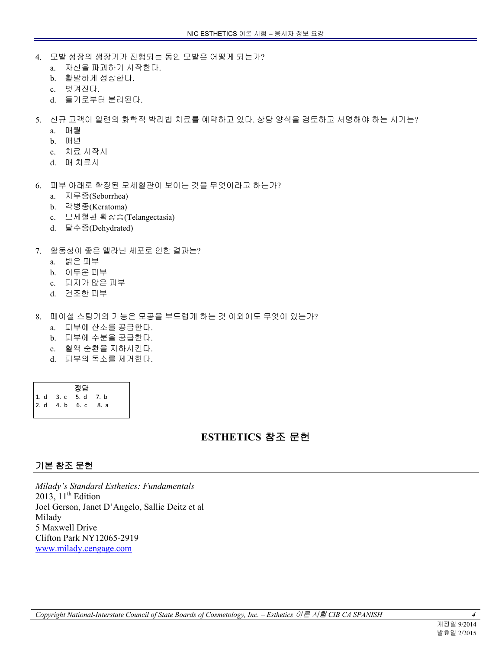- 4. 모발 성장의 생장기가 진행되는 동안 모발은 어떻게 되는가?
	- a. 자신을 파괴하기 시작한다.
	- b. 활발하게 성장한다.
	- c. 벗겨진다.
	- d. 돌기로부터 분리된다.
- 5. 신규 고객이 일련의 화학적 박리법 치료를 예약하고 있다. 상담 양식을 검토하고 서명해야 하는 시기는?
	- a. 매월
	- b. 매년
	- c. 치료 시작시
	- d. 매 치료시
- 6. 피부 아래로 확장된 모세혈관이 보이는 것을 무엇이라고 하는가?
	- a. 지루증(Seborrhea)
	- b. 각병종(Keratoma)
	- c. 모세혈관 확장증(Telangectasia)
	- d. 탈수증(Dehydrated)
- 7. 활동성이 좋은 멜라닌 세포로 인한 결과는?
	- a. 밝은 피부
	- b. 어두운 피부
	- c. 피지가 많은 피부
	- d. 건조한 피부
- 8. 페이셜 스팀기의 기능은 모공을 부드럽게 하는 것 이외에도 무엇이 있는가?
	- a. 피부에 산소를 공급한다.
	- b. 피부에 수분을 공급한다.
	- c. 혈액 순환을 저하시킨다.
	- d. 피부의 독소를 제거한다.

| 정답                               |  |      |      |
|----------------------------------|--|------|------|
|                                  |  |      | 7. b |
| 1. d 3. c 5. d<br>2. d 4. b 6. c |  | 6. c | 8. a |

# **ESTHETICS** 참조 문헌

### 기본 참조 문헌

*Milady's Standard Esthetics: Fundamentals*  2013,  $11<sup>th</sup>$  Edition Joel Gerson, Janet D'Angelo, Sallie Deitz et al Milady 5 Maxwell Drive Clifton Park NY12065-2919 <www.milady.cengage.com>